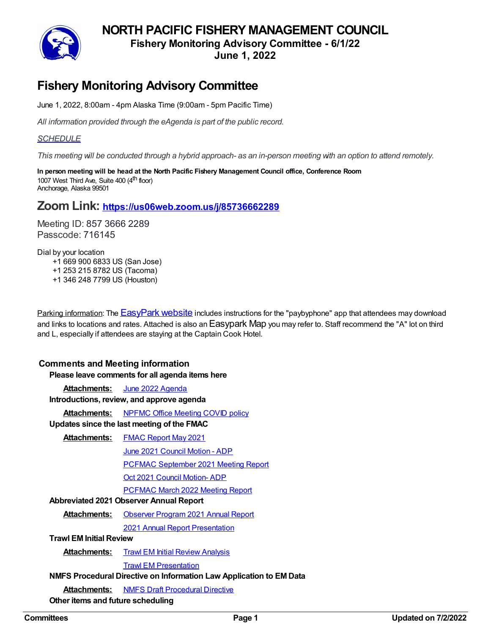# **NORTH PACIFIC FISHERY MANAGEMENT COUNCIL**



**Fishery Monitoring Advisory Committee - 6/1/22**

**June 1, 2022**

# **Fishery Monitoring Advisory Committee**

June 1, 2022, 8:00am - 4pm Alaska Time (9:00am - 5pm Pacific Time)

*All information provided through the eAgenda is part of the public record.*

## *[SCHEDULE](https://meetings.npfmc.org/CommentReview/DownloadFile?p=2df1b791-6247-484f-ae8b-dd0197d3f324.pdf&fileName=June%202022%20Agenda.pdf)*

This meeting will be conducted through a hybrid approach- as an in-person meeting with an option to attend remotely.

In person meeting will be head at the North Pacific Fishery Management Council office, Conference Room<br>1007 West Third Ave. Suite 400 (4<sup>th</sup> floor) 1007 West Third Ave, Suite 400 (4<sup>th</sup> floor) Anchorage, Alaska 99501

# **Zoom Link: <https://us06web.zoom.us/j/85736662289>**

Meeting ID: 857 3666 2289 Passcode: 716145

Dial by your location +1 669 900 6833 US (San Jose) +1 253 215 8782 US (Tacoma) +1 346 248 7799 US (Houston)

Parking information: The **[EasyPark](https://www.easyparkalaska.com/) [website](https://www.easyparkalaska.com/)** includes instructions for the "paybyphone" app that attendees may download and links to locations and rates. Attached is also an Easypark Map you may refer to. Staff recommend the "A" lot on third and L, especially if attendees are staying at the Captain Cook Hotel.

### **Comments and Meeting information**

**Please leave comments for all agenda items here**

**Attachments:** June 2022 [Agenda](https://meetings.npfmc.org/CommentReview/DownloadFile?p=2df1b791-6247-484f-ae8b-dd0197d3f324.pdf&fileName=June%202022%20Agenda.pdf)

**Introductions, review, and approve agenda**

**Attachments:** [NPFMC](https://meetings.npfmc.org/CommentReview/DownloadFile?p=0aa43802-5f29-4568-b7ec-df7b54e42214.pdf&fileName=NPFMC%20Office%20Meeting%20COVID%20policy.pdf) Office Meeting COVID policy

**Updates since the last meeting of the FMAC**

**Attachments:** FMAC [Report](https://meetings.npfmc.org/CommentReview/DownloadFile?p=5a4223fc-54ec-468d-8f3f-509453ae363b.pdf&fileName=FMAC%20Report%20May%202021.pdf) May 2021

June 2021 [Council](https://meetings.npfmc.org/CommentReview/DownloadFile?p=2fd1c3a1-c0d5-479d-89ce-8938f47034ad.pdf&fileName=Council%20Motion%202022%20ADP%20June%202021.pdf) Motion - ADP

PCFMAC [September](https://meetings.npfmc.org/CommentReview/DownloadFile?p=8e4bec5d-c9dc-4633-af06-bd7f70720cf8.pdf&fileName=C5%20PCFMAC%20September%202021%20Meeting%20Report.pdf) 2021 Meeting Report

Oct 2021 [Council](https://meetings.npfmc.org/CommentReview/DownloadFile?p=b57f74ae-9818-42ab-9abf-de782b32bc34.pdf&fileName=C5%20Council%20Motion%20.pdf) Motion- ADP

[PCFMAC](https://meetings.npfmc.org/CommentReview/DownloadFile?p=5b3a69db-ff60-4b2e-817f-f8f2bd4b3e0b.pdf&fileName=E%20PCFMAC%20report.pdf) March 2022 Meeting Report

#### **Abbreviated 2021 Observer Annual Report**

**Attachments:** [Observer](https://meetings.npfmc.org/CommentReview/DownloadFile?p=6b540b19-7c72-478d-9576-a1b6d4a360dd.pdf&fileName=Observer%20Program%202021%20Annual%20Report.pdf) Program 2021 Annual Report

2021 Annual Report [Presentation](https://meetings.npfmc.org/CommentReview/DownloadFile?p=d96ec925-d0a8-4b86-92f5-7188d99eddc8.pdf&fileName=2021%20Annual%20Report%20Presentation.pdf)

#### **Trawl EM Initial Review**

**Attachments: Trawl EM Initial Review [Analysis](https://meetings.npfmc.org/CommentReview/DownloadFile?p=7cb91973-3460-4d56-969b-3a46ca1ef2ac.pdf&fileName=C4%20Trawl%20EM%20Initial%20Review%20Analysis.pdf)** 

Trawl EM [Presentation](https://meetings.npfmc.org/CommentReview/DownloadFile?p=8879a36a-ef2d-4bd5-a22c-b006f34d9958.pdf&fileName=Trawl%20EM%20Presentation.pdf)

#### **NMFS Procedural Directive on Information Law Application to EM Data**

**Attachments:** NMFS Draft [Procedural](https://media.fisheries.noaa.gov/2022-05/04-115-04_0.pdf) Directive

**Other items and future scheduling**